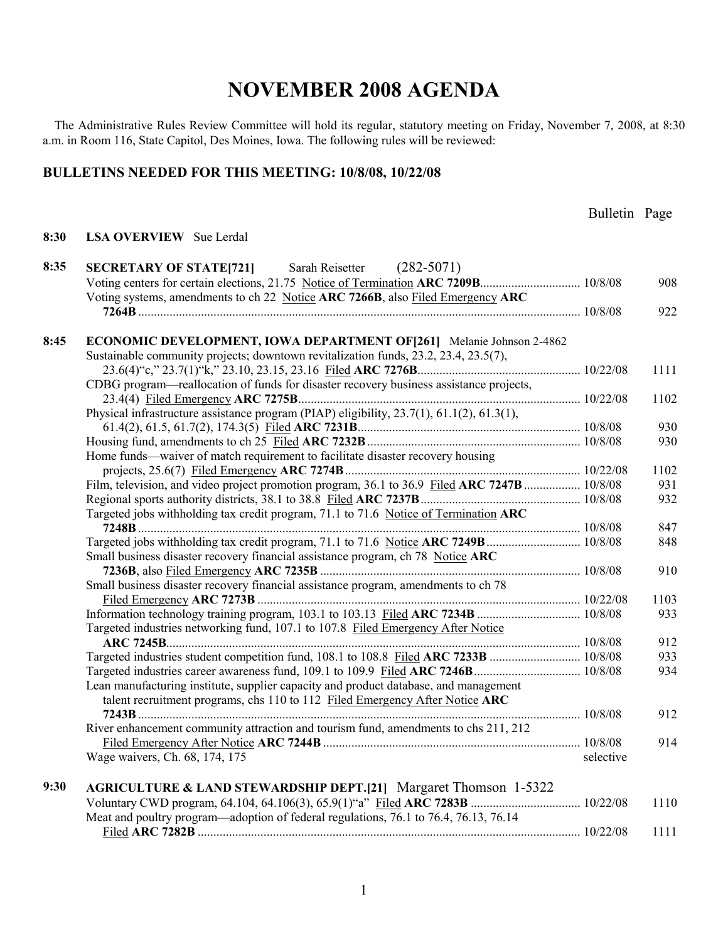The Administrative Rules Review Committee will hold its regular, statutory meeting on Friday, November 7, 2008, at 8:30 a.m. in Room 116, State Capitol, Des Moines, Iowa. The following rules will be reviewed:

#### **BULLETINS NEEDED FOR THIS MEETING: 10/8/08, 10/22/08**

**8:30 LSA OVERVIEW** Sue Lerdal

| 8:35 | Sarah Reisetter (282-5071)<br><b>SECRETARY OF STATE[721]</b>                                 |           |      |
|------|----------------------------------------------------------------------------------------------|-----------|------|
|      | Voting centers for certain elections, 21.75 Notice of Termination ARC 7209B 10/8/08          |           | 908  |
|      | Voting systems, amendments to ch 22 Notice ARC 7266B, also Filed Emergency ARC               |           |      |
|      |                                                                                              |           | 922  |
|      |                                                                                              |           |      |
| 8:45 | <b>ECONOMIC DEVELOPMENT, IOWA DEPARTMENT OF[261]</b> Melanie Johnson 2-4862                  |           |      |
|      | Sustainable community projects; downtown revitalization funds, 23.2, 23.4, 23.5(7),          |           |      |
|      |                                                                                              |           | 1111 |
|      | CDBG program—reallocation of funds for disaster recovery business assistance projects,       |           |      |
|      |                                                                                              |           | 1102 |
|      | Physical infrastructure assistance program (PIAP) eligibility, 23.7(1), 61.1(2), 61.3(1),    |           |      |
|      |                                                                                              |           | 930  |
|      |                                                                                              |           | 930  |
|      | Home funds—waiver of match requirement to facilitate disaster recovery housing               |           |      |
|      |                                                                                              |           | 1102 |
|      | Film, television, and video project promotion program, 36.1 to 36.9 Filed ARC 7247B  10/8/08 |           | 931  |
|      |                                                                                              |           | 932  |
|      | Targeted jobs withholding tax credit program, 71.1 to 71.6 Notice of Termination ARC         |           |      |
|      |                                                                                              |           | 847  |
|      | Targeted jobs withholding tax credit program, 71.1 to 71.6 Notice ARC 7249B  10/8/08         |           | 848  |
|      | Small business disaster recovery financial assistance program, ch 78 Notice ARC              |           |      |
|      |                                                                                              |           | 910  |
|      | Small business disaster recovery financial assistance program, amendments to ch 78           |           |      |
|      |                                                                                              |           | 1103 |
|      |                                                                                              |           | 933  |
|      | Targeted industries networking fund, 107.1 to 107.8 Filed Emergency After Notice             |           |      |
|      |                                                                                              |           | 912  |
|      |                                                                                              |           | 933  |
|      |                                                                                              |           | 934  |
|      | Lean manufacturing institute, supplier capacity and product database, and management         |           |      |
|      | talent recruitment programs, chs 110 to 112 Filed Emergency After Notice ARC                 |           |      |
|      |                                                                                              |           | 912  |
|      | River enhancement community attraction and tourism fund, amendments to chs 211, 212          |           |      |
|      |                                                                                              |           | 914  |
|      | Wage waivers, Ch. 68, 174, 175                                                               | selective |      |
| 9:30 | AGRICULTURE & LAND STEWARDSHIP DEPT.[21] Margaret Thomson 1-5322                             |           |      |
|      |                                                                                              |           | 1110 |
|      | Meat and poultry program—adoption of federal regulations, 76.1 to 76.4, 76.13, 76.14         |           |      |
|      |                                                                                              |           | 1111 |
|      |                                                                                              |           |      |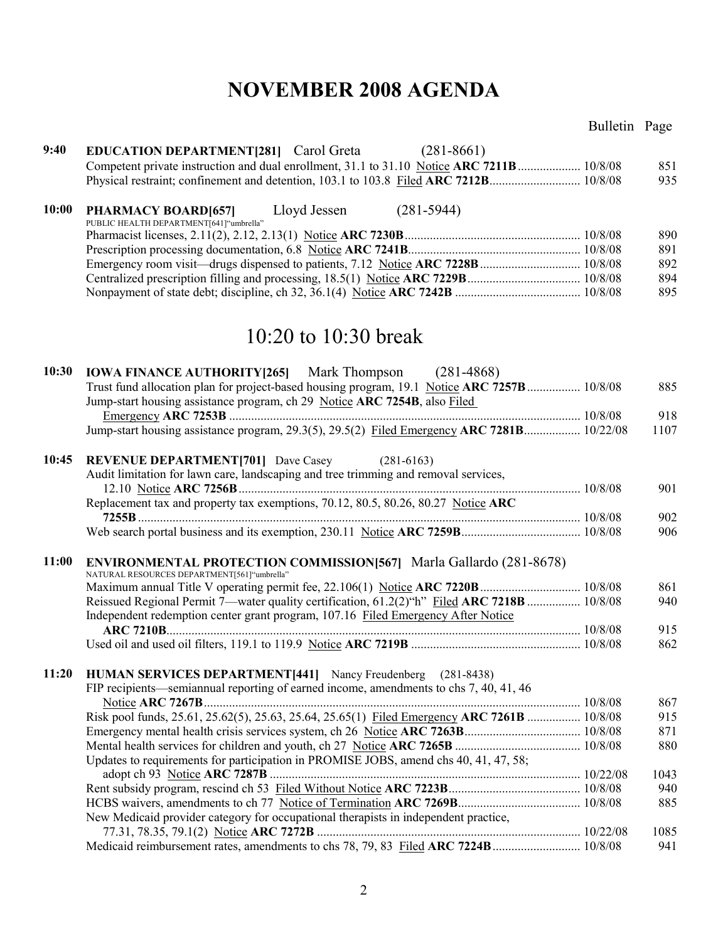### Bulletin Page

| 9:40  | <b>EDUCATION DEPARTMENT</b> [281] Carol Greta (281-8661)                                                                                                                        |             |
|-------|---------------------------------------------------------------------------------------------------------------------------------------------------------------------------------|-------------|
|       | Competent private instruction and dual enrollment, 31.1 to 31.10 Notice ARC 7211B 10/8/08                                                                                       | 851         |
|       |                                                                                                                                                                                 | 935         |
| 10:00 | Lloyd Jessen<br>$(281 - 5944)$<br><b>PHARMACY BOARD[657]</b><br>PUBLIC HEALTH DEPARTMENT[641]"umbrella"                                                                         |             |
|       |                                                                                                                                                                                 | 890         |
|       |                                                                                                                                                                                 | 891         |
|       |                                                                                                                                                                                 | 892         |
|       |                                                                                                                                                                                 | 894         |
|       |                                                                                                                                                                                 | 895         |
|       | 10:20 to 10:30 break                                                                                                                                                            |             |
| 10:30 | <b>IOWA FINANCE AUTHORITY [265]</b> Mark Thompson (281-4868)                                                                                                                    |             |
|       | Trust fund allocation plan for project-based housing program, 19.1 Notice ARC 7257B  10/8/08                                                                                    | 885         |
|       | Jump-start housing assistance program, ch 29 Notice ARC 7254B, also Filed                                                                                                       |             |
|       |                                                                                                                                                                                 | 918         |
|       | Jump-start housing assistance program, 29.3(5), 29.5(2) Filed Emergency ARC 7281B 10/22/08                                                                                      | 1107        |
| 10:45 | <b>REVENUE DEPARTMENT[701]</b> Dave Casey<br>$(281 - 6163)$                                                                                                                     |             |
|       | Audit limitation for lawn care, landscaping and tree trimming and removal services,                                                                                             |             |
|       |                                                                                                                                                                                 | 901         |
|       | Replacement tax and property tax exemptions, 70.12, 80.5, 80.26, 80.27 Notice ARC                                                                                               |             |
|       |                                                                                                                                                                                 | 902         |
|       |                                                                                                                                                                                 | 906         |
| 11:00 | <b>ENVIRONMENTAL PROTECTION COMMISSION[567]</b> Marla Gallardo (281-8678)                                                                                                       |             |
|       | NATURAL RESOURCES DEPARTMENT[561]"umbrella"                                                                                                                                     |             |
|       |                                                                                                                                                                                 | 861         |
|       | Reissued Regional Permit 7—water quality certification, 61.2(2)"h" Filed ARC 7218B  10/8/08<br>Independent redemption center grant program, 107.16 Filed Emergency After Notice | 940         |
|       |                                                                                                                                                                                 | 915         |
|       |                                                                                                                                                                                 | 862         |
|       |                                                                                                                                                                                 |             |
| 11:20 | <b>HUMAN SERVICES DEPARTMENT[441]</b> Nancy Freudenberg (281-8438)                                                                                                              |             |
|       | FIP recipients—semiannual reporting of earned income, amendments to chs 7, 40, 41, 46                                                                                           |             |
|       |                                                                                                                                                                                 | 867         |
|       | Risk pool funds, 25.61, 25.62(5), 25.63, 25.64, 25.65(1) Filed Emergency ARC 7261B  10/8/08                                                                                     | 915<br>871  |
|       |                                                                                                                                                                                 | 880         |
|       | Updates to requirements for participation in PROMISE JOBS, amend chs 40, 41, 47, 58;                                                                                            |             |
|       |                                                                                                                                                                                 |             |
|       |                                                                                                                                                                                 | 1043<br>940 |
|       |                                                                                                                                                                                 | 885         |
|       | New Medicaid provider category for occupational therapists in independent practice,                                                                                             |             |
|       |                                                                                                                                                                                 | 1085        |
|       | Medicaid reimbursement rates, amendments to chs 78, 79, 83 Filed ARC 7224B  10/8/08                                                                                             | 941         |
|       |                                                                                                                                                                                 |             |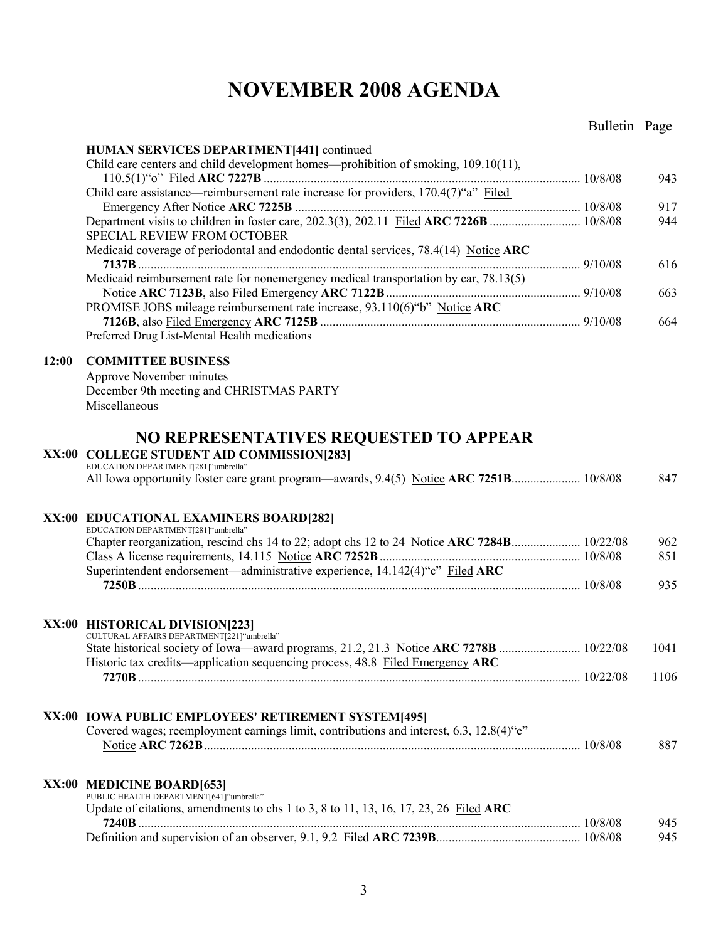|       |                                                                                                                               | Bulletin Page |            |
|-------|-------------------------------------------------------------------------------------------------------------------------------|---------------|------------|
|       | HUMAN SERVICES DEPARTMENT[441] continued                                                                                      |               |            |
|       | Child care centers and child development homes—prohibition of smoking, 109.10(11),                                            |               |            |
|       |                                                                                                                               |               | 943        |
|       | Child care assistance—reimbursement rate increase for providers, 170.4(7)"a" Filed                                            |               |            |
|       |                                                                                                                               |               | 917        |
|       | SPECIAL REVIEW FROM OCTOBER                                                                                                   |               | 944        |
|       | Medicaid coverage of periodontal and endodontic dental services, 78.4(14) Notice ARC                                          |               | 616        |
|       | Medicaid reimbursement rate for nonemergency medical transportation by car, 78.13(5)                                          |               | 663        |
|       | PROMISE JOBS mileage reimbursement rate increase, 93.110(6)"b" Notice ARC                                                     |               |            |
|       |                                                                                                                               |               | 664        |
|       | Preferred Drug List-Mental Health medications                                                                                 |               |            |
| 12:00 | <b>COMMITTEE BUSINESS</b>                                                                                                     |               |            |
|       | Approve November minutes                                                                                                      |               |            |
|       | December 9th meeting and CHRISTMAS PARTY                                                                                      |               |            |
|       | Miscellaneous                                                                                                                 |               |            |
|       | NO REPRESENTATIVES REQUESTED TO APPEAR                                                                                        |               |            |
|       | XX:00 COLLEGE STUDENT AID COMMISSION[283]                                                                                     |               |            |
|       | EDUCATION DEPARTMENT[281]"umbrella"<br>All Iowa opportunity foster care grant program—awards, 9.4(5) Notice ARC 7251B 10/8/08 |               | 847        |
|       |                                                                                                                               |               |            |
|       | XX:00 EDUCATIONAL EXAMINERS BOARD[282]                                                                                        |               |            |
|       | EDUCATION DEPARTMENT[281]"umbrella"                                                                                           |               |            |
|       |                                                                                                                               |               | 962<br>851 |
|       | Superintendent endorsement—administrative experience, 14.142(4)"c" Filed ARC                                                  |               |            |
|       |                                                                                                                               |               | 935        |
|       |                                                                                                                               |               |            |
|       | XX:00 HISTORICAL DIVISION[223]<br>CULTURAL AFFAIRS DEPARTMENT[221] "umbrella"                                                 |               |            |
|       |                                                                                                                               |               | 1041       |
|       | Historic tax credits—application sequencing process, 48.8 Filed Emergency ARC                                                 |               |            |
|       |                                                                                                                               |               | 1106       |
|       |                                                                                                                               |               |            |
|       | XX:00 IOWA PUBLIC EMPLOYEES' RETIREMENT SYSTEM[495]                                                                           |               |            |
|       | Covered wages; reemployment earnings limit, contributions and interest, 6.3, 12.8(4) "e"                                      |               |            |
|       |                                                                                                                               |               | 887        |
|       |                                                                                                                               |               |            |
|       | XX:00 MEDICINE BOARD[653]<br>PUBLIC HEALTH DEPARTMENT[641] "umbrella"                                                         |               |            |
|       | Update of citations, amendments to chs 1 to 3, 8 to 11, 13, 16, 17, 23, 26 Filed ARC                                          |               |            |
|       |                                                                                                                               |               | 945        |
|       |                                                                                                                               |               | 945        |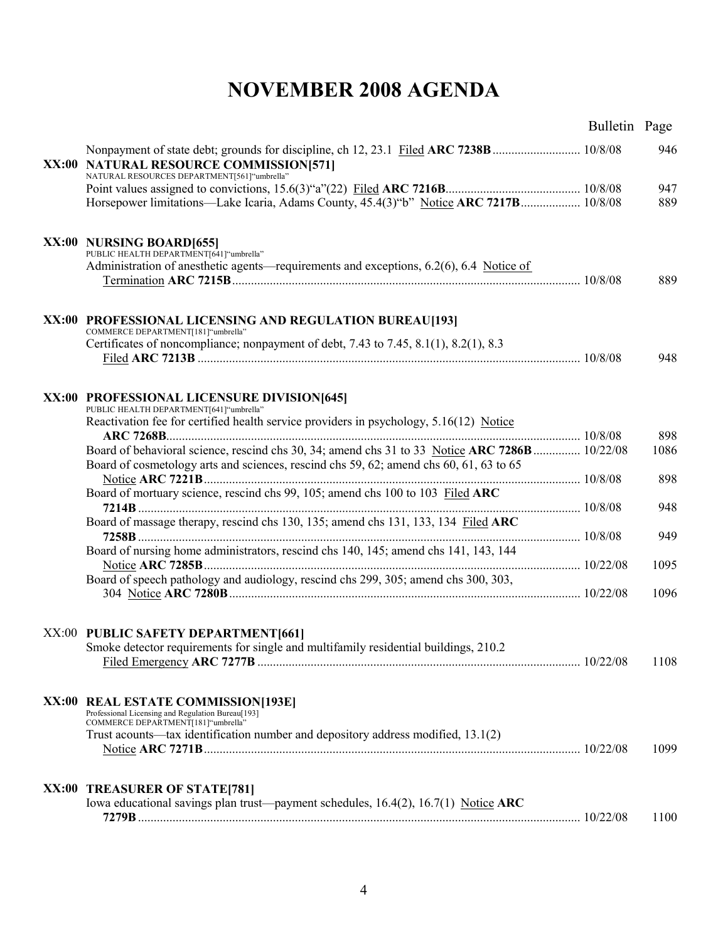|       |                                                                                                                            | Bulletin Page |      |
|-------|----------------------------------------------------------------------------------------------------------------------------|---------------|------|
| XX:00 | <b>NATURAL RESOURCE COMMISSION[571]</b>                                                                                    |               | 946  |
|       | NATURAL RESOURCES DEPARTMENT[561] "umbrella"                                                                               |               |      |
|       |                                                                                                                            |               | 947  |
|       | Horsepower limitations—Lake Icaria, Adams County, 45.4(3) "b" Notice ARC 7217B 10/8/08                                     |               | 889  |
|       | XX:00 NURSING BOARD[655]                                                                                                   |               |      |
|       | PUBLIC HEALTH DEPARTMENT[641] "umbrella"                                                                                   |               |      |
|       | Administration of anesthetic agents—requirements and exceptions, 6.2(6), 6.4 Notice of                                     |               |      |
|       |                                                                                                                            |               | 889  |
|       | XX:00 PROFESSIONAL LICENSING AND REGULATION BUREAU[193]                                                                    |               |      |
|       | COMMERCE DEPARTMENT[181]"umbrella"<br>Certificates of noncompliance; nonpayment of debt, 7.43 to 7.45, 8.1(1), 8.2(1), 8.3 |               |      |
|       |                                                                                                                            |               | 948  |
|       |                                                                                                                            |               |      |
|       | XX:00 PROFESSIONAL LICENSURE DIVISION[645]<br>PUBLIC HEALTH DEPARTMENT[641]"umbrella"                                      |               |      |
|       | Reactivation fee for certified health service providers in psychology, 5.16(12) Notice                                     |               | 898  |
|       | Board of behavioral science, rescind chs 30, 34; amend chs 31 to 33 Notice ARC 7286B  10/22/08                             |               | 1086 |
|       | Board of cosmetology arts and sciences, rescind chs 59, 62; amend chs 60, 61, 63 to 65                                     |               |      |
|       |                                                                                                                            |               | 898  |
|       | Board of mortuary science, rescind chs 99, 105; amend chs 100 to 103 Filed ARC                                             |               | 948  |
|       | Board of massage therapy, rescind chs 130, 135; amend chs 131, 133, 134 Filed ARC                                          |               |      |
|       |                                                                                                                            |               | 949  |
|       | Board of nursing home administrators, rescind chs 140, 145; amend chs 141, 143, 144                                        |               | 1095 |
|       | Board of speech pathology and audiology, rescind chs 299, 305; amend chs 300, 303,                                         |               |      |
|       |                                                                                                                            |               | 1096 |
|       | XX:00 PUBLIC SAFETY DEPARTMENT[661]                                                                                        |               |      |
|       | Smoke detector requirements for single and multifamily residential buildings, 210.2                                        |               |      |
|       |                                                                                                                            |               | 1108 |
|       |                                                                                                                            |               |      |
|       | XX:00 REAL ESTATE COMMISSION[193E]                                                                                         |               |      |
|       | Professional Licensing and Regulation Bureau[193]<br>COMMERCE DEPARTMENT[181]"umbrella"                                    |               |      |
|       | Trust acounts—tax identification number and depository address modified, 13.1(2)                                           |               |      |
|       |                                                                                                                            |               | 1099 |
|       |                                                                                                                            |               |      |
|       | XX:00 TREASURER OF STATE[781]<br>Iowa educational savings plan trust—payment schedules, $16.4(2)$ , $16.7(1)$ Notice ARC   |               |      |
|       |                                                                                                                            |               | 1100 |
|       |                                                                                                                            |               |      |